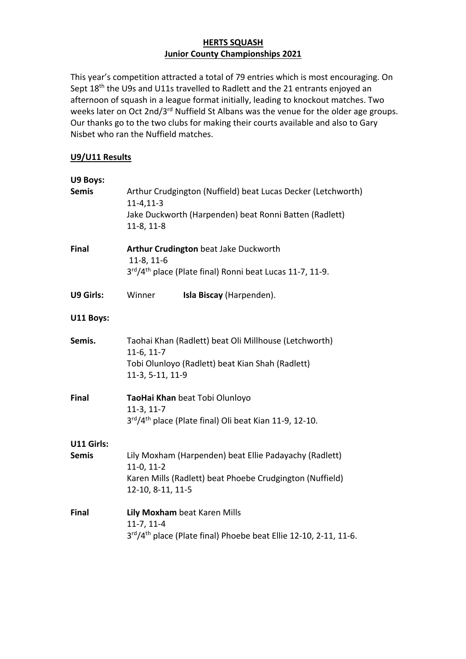## **HERTS SQUASH Junior County Championships 2021**

This year's competition attracted a total of 79 entries which is most encouraging. On Sept 18<sup>th</sup> the U9s and U11s travelled to Radlett and the 21 entrants enjoyed an afternoon of squash in a league format initially, leading to knockout matches. Two weeks later on Oct 2nd/3<sup>rd</sup> Nuffield St Albans was the venue for the older age groups. Our thanks go to the two clubs for making their courts available and also to Gary Nisbet who ran the Nuffield matches.

## **U9/U11 Results**

| U9 Boys:          |                                                                                                                           |  |
|-------------------|---------------------------------------------------------------------------------------------------------------------------|--|
| <b>Semis</b>      | Arthur Crudgington (Nuffield) beat Lucas Decker (Letchworth)<br>$11 - 4, 11 - 3$                                          |  |
|                   | Jake Duckworth (Harpenden) beat Ronni Batten (Radlett)<br>$11-8, 11-8$                                                    |  |
| <b>Final</b>      | Arthur Crudington beat Jake Duckworth<br>11-8, 11-6                                                                       |  |
|                   | 3rd/4 <sup>th</sup> place (Plate final) Ronni beat Lucas 11-7, 11-9.                                                      |  |
| <b>U9 Girls:</b>  | Winner<br>Isla Biscay (Harpenden).                                                                                        |  |
| U11 Boys:         |                                                                                                                           |  |
| Semis.            | Taohai Khan (Radlett) beat Oli Millhouse (Letchworth)<br>$11-6, 11-7$<br>Tobi Olunloyo (Radlett) beat Kian Shah (Radlett) |  |
|                   | 11-3, 5-11, 11-9                                                                                                          |  |
| <b>Final</b>      | TaoHai Khan beat Tobi Olunloyo<br>$11-3, 11-7$                                                                            |  |
|                   | 3rd/4 <sup>th</sup> place (Plate final) Oli beat Kian 11-9, 12-10.                                                        |  |
| <b>U11 Girls:</b> |                                                                                                                           |  |
| <b>Semis</b>      | Lily Moxham (Harpenden) beat Ellie Padayachy (Radlett)<br>$11-0, 11-2$                                                    |  |
|                   | Karen Mills (Radlett) beat Phoebe Crudgington (Nuffield)<br>12-10, 8-11, 11-5                                             |  |
| <b>Final</b>      | Lily Moxham beat Karen Mills<br>$11-7, 11-4$                                                                              |  |
|                   | 3rd/4 <sup>th</sup> place (Plate final) Phoebe beat Ellie 12-10, 2-11, 11-6.                                              |  |